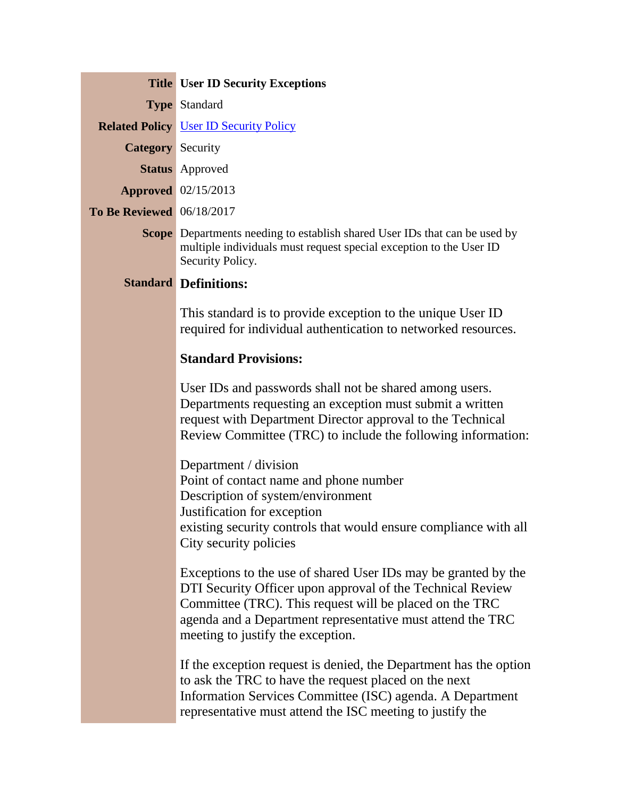|                                  | <b>Title User ID Security Exceptions</b>                                                                                                                                                                                                                                                   |
|----------------------------------|--------------------------------------------------------------------------------------------------------------------------------------------------------------------------------------------------------------------------------------------------------------------------------------------|
|                                  | <b>Type Standard</b>                                                                                                                                                                                                                                                                       |
|                                  | <b>Related Policy User ID Security Policy</b>                                                                                                                                                                                                                                              |
| <b>Category</b> Security         |                                                                                                                                                                                                                                                                                            |
|                                  | <b>Status</b> Approved                                                                                                                                                                                                                                                                     |
|                                  | <b>Approved</b> 02/15/2013                                                                                                                                                                                                                                                                 |
| <b>To Be Reviewed</b> 06/18/2017 |                                                                                                                                                                                                                                                                                            |
|                                  | <b>Scope</b> Departments needing to establish shared User IDs that can be used by<br>multiple individuals must request special exception to the User ID<br>Security Policy.                                                                                                                |
|                                  | <b>Standard Definitions:</b>                                                                                                                                                                                                                                                               |
|                                  | This standard is to provide exception to the unique User ID<br>required for individual authentication to networked resources.                                                                                                                                                              |
|                                  | <b>Standard Provisions:</b>                                                                                                                                                                                                                                                                |
|                                  | User IDs and passwords shall not be shared among users.<br>Departments requesting an exception must submit a written<br>request with Department Director approval to the Technical<br>Review Committee (TRC) to include the following information:                                         |
|                                  | Department / division<br>Point of contact name and phone number<br>Description of system/environment<br>Justification for exception<br>existing security controls that would ensure compliance with all<br>City security policies                                                          |
|                                  | Exceptions to the use of shared User IDs may be granted by the<br>DTI Security Officer upon approval of the Technical Review<br>Committee (TRC). This request will be placed on the TRC<br>agenda and a Department representative must attend the TRC<br>meeting to justify the exception. |
|                                  | If the exception request is denied, the Department has the option<br>to ask the TRC to have the request placed on the next<br>Information Services Committee (ISC) agenda. A Department<br>representative must attend the ISC meeting to justify the                                       |